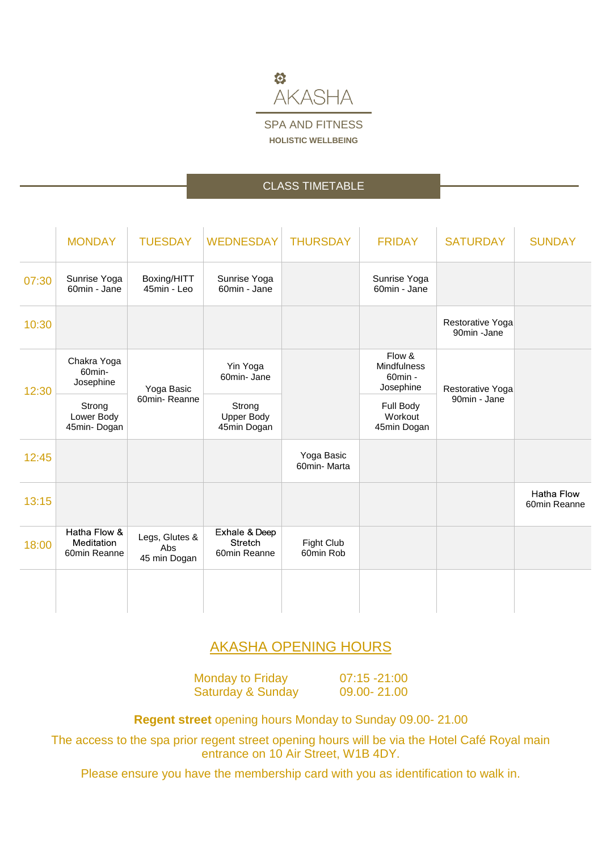

# CLASS TIMETABLE

|       | <b>MONDAY</b>                              | <b>TUESDAY</b>                        | <b>WEDNESDAY</b>                                | <b>THURSDAY</b>           | <b>FRIDAY</b>                                        | <b>SATURDAY</b>                  | <b>SUNDAY</b>                     |
|-------|--------------------------------------------|---------------------------------------|-------------------------------------------------|---------------------------|------------------------------------------------------|----------------------------------|-----------------------------------|
| 07:30 | Sunrise Yoga<br>60min - Jane               | Boxing/HITT<br>45min - Leo            | Sunrise Yoga<br>60min - Jane                    |                           | Sunrise Yoga<br>60min - Jane                         |                                  |                                   |
| 10:30 |                                            |                                       |                                                 |                           |                                                      | Restorative Yoga<br>90min -Jane  |                                   |
| 12:30 | Chakra Yoga<br>60min-<br>Josephine         | Yoga Basic<br>60min-Reanne            | Yin Yoga<br>60min-Jane                          |                           | Flow &<br><b>Mindfulness</b><br>60min -<br>Josephine | Restorative Yoga<br>90min - Jane |                                   |
|       | Strong<br>Lower Body<br>45min-Dogan        |                                       | Strong<br><b>Upper Body</b><br>45min Dogan      |                           | Full Body<br>Workout<br>45min Dogan                  |                                  |                                   |
| 12:45 |                                            |                                       |                                                 | Yoga Basic<br>60min-Marta |                                                      |                                  |                                   |
| 13:15 |                                            |                                       |                                                 |                           |                                                      |                                  | <b>Hatha Flow</b><br>60min Reanne |
| 18:00 | Hatha Flow &<br>Meditation<br>60min Reanne | Legs, Glutes &<br>Abs<br>45 min Dogan | Exhale & Deep<br><b>Stretch</b><br>60min Reanne | Fight Club<br>60min Rob   |                                                      |                                  |                                   |
|       |                                            |                                       |                                                 |                           |                                                      |                                  |                                   |

# AKASHA OPENING HOURS

Monday to Friday 07:15 -21:00 Saturday & Sunday 09.00-21.00

**Regent street** opening hours Monday to Sunday 09.00- 21.00

The access to the spa prior regent street opening hours will be via the Hotel Café Royal main entrance on 10 Air Street, W1B 4DY.

Please ensure you have the membership card with you as identification to walk in.